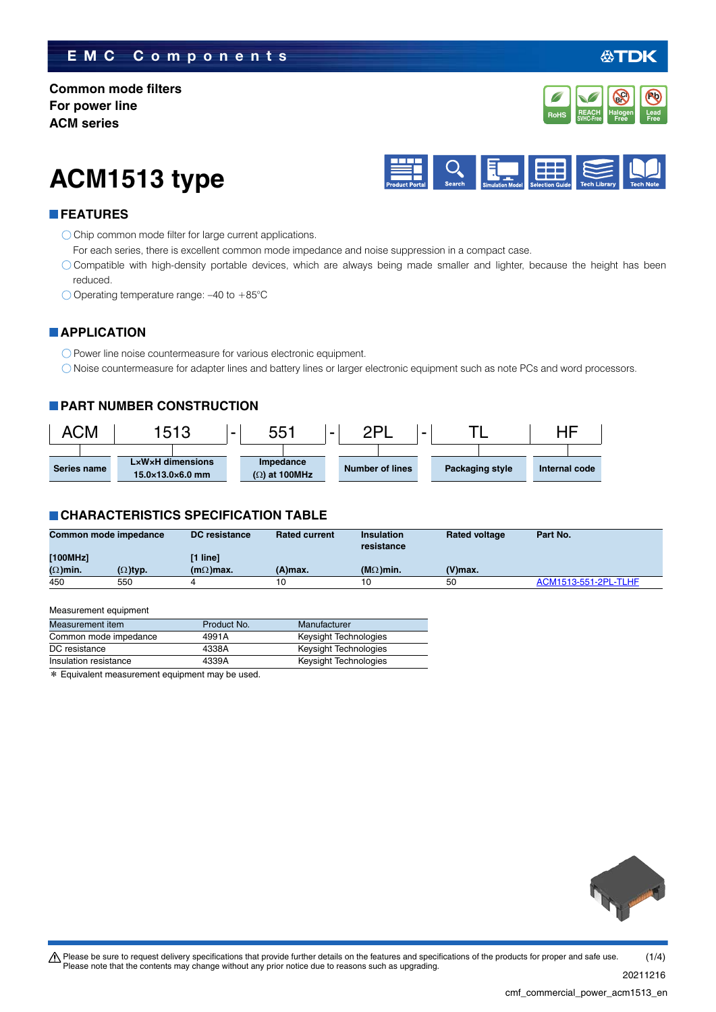# **EMC Components**

**Common mode filters For power line ACM series**

**ACM1513 type**



#### **FEATURES**

O Chip common mode filter for large current applications.

For each series, there is excellent common mode impedance and noise suppression in a compact case.

Compatible with high-density portable devices, which are always being made smaller and lighter, because the height has been reduced.

 $\bigcirc$  Operating temperature range: -40 to +85°C

### **APPLICATION**

O Power line noise countermeasure for various electronic equipment.

Noise countermeasure for adapter lines and battery lines or larger electronic equipment such as note PCs and word processors.

#### **PART NUMBER CONSTRUCTION**



#### **CHARACTERISTICS SPECIFICATION TABLE**

| Common mode impedance |                 | <b>DC</b> resistance | <b>Rated current</b> | <b>Insulation</b><br>resistance | <b>Rated voltage</b> | Part No.             |
|-----------------------|-----------------|----------------------|----------------------|---------------------------------|----------------------|----------------------|
| [100MHz]              |                 | [1 line]             |                      |                                 |                      |                      |
| $(\Omega)$ min.       | $(\Omega)$ typ. | $(m\Omega)$ max.     | (A)max.              | $(M\Omega)$ min.                | $(V)$ max.           |                      |
| 450                   | 550             |                      | 10                   | 10                              | 50                   | ACM1513-551-2PL-TLHF |

#### Measurement equipment

| Measurement item      | Product No. | Manufacturer          |
|-----------------------|-------------|-----------------------|
| Common mode impedance | 4991A       | Keysight Technologies |
| DC resistance         | 4338A       | Keysight Technologies |
| Insulation resistance | 4339A       | Keysight Technologies |

\* Equivalent measurement equipment may be used.





**Pb**

**REACH** Halogen Lead<br>SVHC-Free Free Free **RoHS** SVHC-Free **Free Free** 

**Halogen Free Br Cl**

**REACH**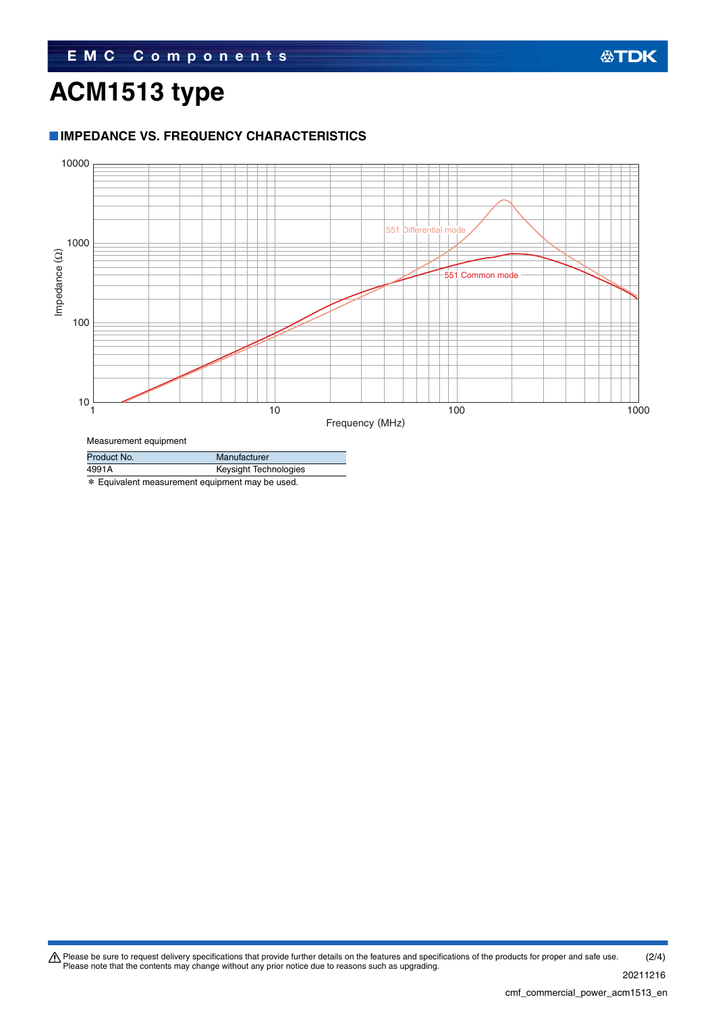# **ACM1513 type**

# **IMPEDANCE VS. FREQUENCY CHARACTERISTICS**



Measurement equipment

| Product No. | Manufacturer          |
|-------------|-----------------------|
| 4991A       | Keysight Technologies |
|             |                       |

\* Equivalent measurement equipment may be used.

Please be sure to request delivery specifications that provide further details on the features and specifications of the products for proper and safe use.<br>Please note that the contents may change without any prior notice d 20211216 (2/4)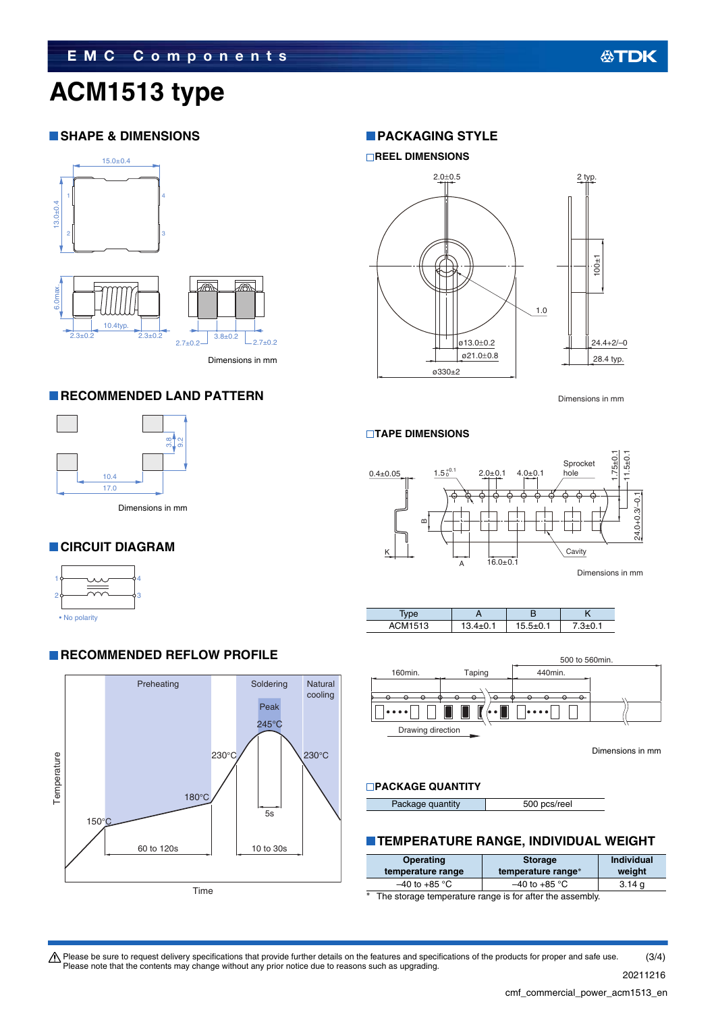# **ACM1513 type**

## **SHAPE & DIMENSIONS**



Dimensions in mm

### **RECOMMENDED LAND PATTERN**



4 3

# **CIRCUIT DIAGRAM**



**RECOMMENDED REFLOW PROFILE** 



# **PACKAGING STYLE**



Dimensions in mm

#### **TAPE DIMENSIONS**







Dimensions in mm

#### **PACKAGE QUANTITY**

Package quantity 500 pcs/reel

#### **TEMPERATURE RANGE, INDIVIDUAL WEIGHT**

| Operating<br>temperature range | <b>Storage</b><br>temperature range* | Individual<br>weight |  |
|--------------------------------|--------------------------------------|----------------------|--|
| $-40$ to +85 °C                | $-40$ to $+85$ °C                    | 3.14 <sub>q</sub>    |  |
|                                |                                      |                      |  |

The storage temperature range is for after the assembly.